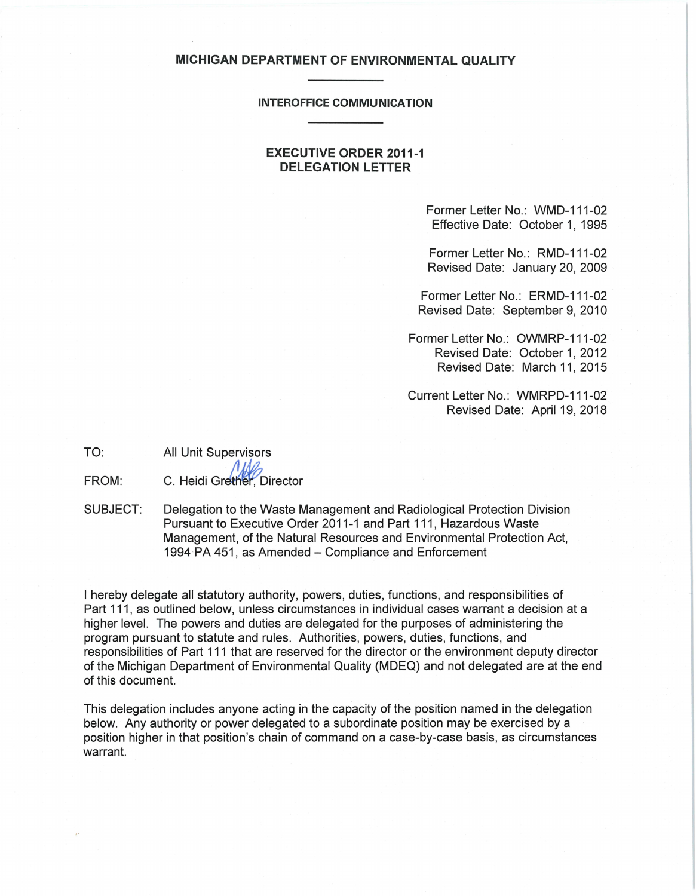#### **MICHIGAN DEPARTMENT OF ENVIRONMENTAL QUALITY**

#### **INTEROFFICE COMMUNICATION**

## **EXECUTIVE ORDER 2011-1 DELEGATION LETTER**

Former Letter No.: WMD-111-02 Effective Date: October 1, 1995

Former Letter No.: RMD-111-02 Revised Date: January 20, 2009

Former Letter No.: ERMD-111-02 Revised Date: September 9, 2010

Former Letter No.: OWMRP-111-02 Revised Date: October 1, 2012 Revised Date: March 11, 2015

Current Letter No.: WMRPD-111-02 Revised Date: April 19, 2018

TO:

All Unit Supervisors

FROM: C. Heidi Grether. Director

SUBJECT: Delegation to the Waste Management and Radiological Protection Division Pursuant to Executive Order 2011-1 and Part 111, Hazardous Waste Management, of the Natural Resources and Environmental Protection Act, 1994 PA 451, as Amended - Compliance and Enforcement

I hereby delegate all statutory authority, powers, duties, functions, and responsibilities of Part 111, as outlined below, unless circumstances in individual cases warrant a decision at a higher level. The powers and duties are delegated for the purposes of administering the program pursuant to statute and rules. Authorities, powers, duties, functions, and responsibilities of Part 111 that are reserved for the director or the environment deputy director of the Michigan Department of Environmental Quality (MDEQ) and not delegated are at the end of this document.

This delegation includes anyone acting in the capacity of the position named in the delegation below. Any authority or power delegated to a subordinate position may be exercised by a position higher in that position's chain of command on a case-by-case basis, as circumstances warrant.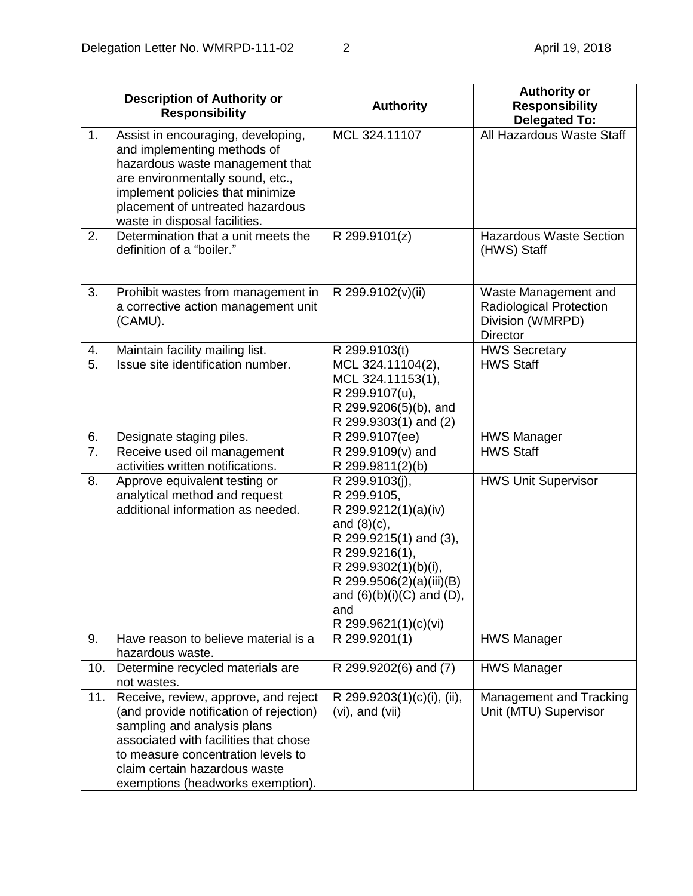|                  | <b>Description of Authority or</b><br><b>Responsibility</b>                                                                                                                                                                                                         | <b>Authority</b>                                                                                                                                                                                                                         | <b>Authority or</b><br><b>Responsibility</b><br><b>Delegated To:</b>                          |
|------------------|---------------------------------------------------------------------------------------------------------------------------------------------------------------------------------------------------------------------------------------------------------------------|------------------------------------------------------------------------------------------------------------------------------------------------------------------------------------------------------------------------------------------|-----------------------------------------------------------------------------------------------|
| 1.               | Assist in encouraging, developing,<br>and implementing methods of<br>hazardous waste management that<br>are environmentally sound, etc.,<br>implement policies that minimize<br>placement of untreated hazardous<br>waste in disposal facilities.                   | MCL 324.11107                                                                                                                                                                                                                            | All Hazardous Waste Staff                                                                     |
| 2.               | Determination that a unit meets the<br>definition of a "boiler."                                                                                                                                                                                                    | R 299.9101(z)                                                                                                                                                                                                                            | <b>Hazardous Waste Section</b><br>(HWS) Staff                                                 |
| 3.               | Prohibit wastes from management in<br>a corrective action management unit<br>(CAMU).                                                                                                                                                                                | R 299.9102(v)(ii)                                                                                                                                                                                                                        | Waste Management and<br><b>Radiological Protection</b><br>Division (WMRPD)<br><b>Director</b> |
| 4.               | Maintain facility mailing list.                                                                                                                                                                                                                                     | R 299.9103(t)                                                                                                                                                                                                                            | <b>HWS Secretary</b>                                                                          |
| 5.               | Issue site identification number.                                                                                                                                                                                                                                   | MCL 324.11104(2),<br>MCL 324.11153(1),<br>R 299.9107(u),<br>R 299.9206(5)(b), and<br>R 299.9303(1) and (2)                                                                                                                               | <b>HWS Staff</b>                                                                              |
| 6.               | Designate staging piles.                                                                                                                                                                                                                                            | R 299.9107(ee)                                                                                                                                                                                                                           | <b>HWS Manager</b>                                                                            |
| $\overline{7}$ . | Receive used oil management<br>activities written notifications.                                                                                                                                                                                                    | R 299.9109(v) and<br>R 299.9811(2)(b)                                                                                                                                                                                                    | <b>HWS Staff</b>                                                                              |
| 8.               | Approve equivalent testing or<br>analytical method and request<br>additional information as needed.                                                                                                                                                                 | R 299.9103(j),<br>R 299.9105,<br>R 299.9212(1)(a)(iv)<br>and $(8)(c)$ ,<br>R 299.9215(1) and (3),<br>R 299.9216(1),<br>R 299.9302(1)(b)(i),<br>R 299.9506(2)(a)(iii)(B)<br>and $(6)(b)(i)(C)$ and $(D)$ ,<br>and<br>R 299.9621(1)(c)(vi) | <b>HWS Unit Supervisor</b>                                                                    |
| 9.               | Have reason to believe material is a<br>hazardous waste.                                                                                                                                                                                                            | R 299.9201(1)                                                                                                                                                                                                                            | <b>HWS Manager</b>                                                                            |
| 10.              | Determine recycled materials are<br>not wastes.                                                                                                                                                                                                                     | R 299.9202(6) and (7)                                                                                                                                                                                                                    | <b>HWS Manager</b>                                                                            |
| 11.              | Receive, review, approve, and reject<br>(and provide notification of rejection)<br>sampling and analysis plans<br>associated with facilities that chose<br>to measure concentration levels to<br>claim certain hazardous waste<br>exemptions (headworks exemption). | R 299.9203(1)(c)(i), (ii),<br>$(vi)$ , and $(vii)$                                                                                                                                                                                       | Management and Tracking<br>Unit (MTU) Supervisor                                              |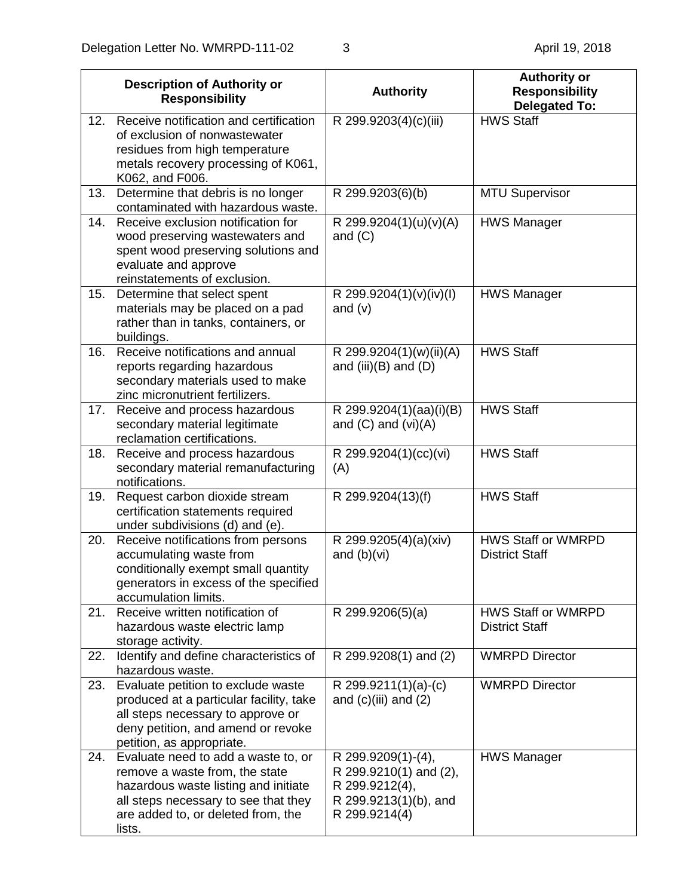|     | <b>Description of Authority or</b><br><b>Responsibility</b>                                                                                                                                           | <b>Authority</b>                                                                                         | <b>Authority or</b><br><b>Responsibility</b><br><b>Delegated To:</b> |
|-----|-------------------------------------------------------------------------------------------------------------------------------------------------------------------------------------------------------|----------------------------------------------------------------------------------------------------------|----------------------------------------------------------------------|
| 12. | Receive notification and certification<br>of exclusion of nonwastewater<br>residues from high temperature<br>metals recovery processing of K061,<br>K062, and F006.                                   | R 299.9203(4)(c)(iii)                                                                                    | <b>HWS Staff</b>                                                     |
| 13. | Determine that debris is no longer<br>contaminated with hazardous waste.                                                                                                                              | R 299.9203(6)(b)                                                                                         | <b>MTU Supervisor</b>                                                |
| 14. | Receive exclusion notification for<br>wood preserving wastewaters and<br>spent wood preserving solutions and<br>evaluate and approve<br>reinstatements of exclusion.                                  | R 299.9204(1)(u)(v)(A)<br>and $(C)$                                                                      | <b>HWS Manager</b>                                                   |
| 15. | Determine that select spent<br>materials may be placed on a pad<br>rather than in tanks, containers, or<br>buildings.                                                                                 | R 299.9204(1)(v)(iv)(l)<br>and $(v)$                                                                     | <b>HWS Manager</b>                                                   |
| 16. | Receive notifications and annual<br>reports regarding hazardous<br>secondary materials used to make<br>zinc micronutrient fertilizers.                                                                | R 299.9204(1)(w)(ii)(A)<br>and (iii) $(B)$ and $(D)$                                                     | <b>HWS Staff</b>                                                     |
| 17. | Receive and process hazardous<br>secondary material legitimate<br>reclamation certifications.                                                                                                         | R 299.9204(1)(aa)(i)(B)<br>and $(C)$ and $(vi)(A)$                                                       | <b>HWS Staff</b>                                                     |
| 18. | Receive and process hazardous<br>secondary material remanufacturing<br>notifications.                                                                                                                 | R 299.9204(1)(cc)(vi)<br>(A)                                                                             | <b>HWS Staff</b>                                                     |
| 19. | Request carbon dioxide stream<br>certification statements required<br>under subdivisions (d) and (e).                                                                                                 | R 299.9204(13)(f)                                                                                        | <b>HWS Staff</b>                                                     |
| 20. | Receive notifications from persons<br>accumulating waste from<br>conditionally exempt small quantity<br>generators in excess of the specified<br>accumulation limits.                                 | R 299.9205(4)(a)(xiv)<br>and $(b)(vi)$                                                                   | <b>HWS Staff or WMRPD</b><br><b>District Staff</b>                   |
| 21. | Receive written notification of<br>hazardous waste electric lamp<br>storage activity.                                                                                                                 | R 299.9206(5)(a)                                                                                         | <b>HWS Staff or WMRPD</b><br><b>District Staff</b>                   |
| 22. | Identify and define characteristics of<br>hazardous waste.                                                                                                                                            | R 299.9208(1) and (2)                                                                                    | <b>WMRPD Director</b>                                                |
| 23. | Evaluate petition to exclude waste<br>produced at a particular facility, take<br>all steps necessary to approve or<br>deny petition, and amend or revoke<br>petition, as appropriate.                 | R 299.9211(1)(a)-(c)<br>and $(c)(iii)$ and $(2)$                                                         | <b>WMRPD Director</b>                                                |
| 24. | Evaluate need to add a waste to, or<br>remove a waste from, the state<br>hazardous waste listing and initiate<br>all steps necessary to see that they<br>are added to, or deleted from, the<br>lists. | R 299.9209(1)-(4),<br>R 299.9210(1) and (2),<br>R 299.9212(4),<br>R 299.9213(1)(b), and<br>R 299.9214(4) | <b>HWS Manager</b>                                                   |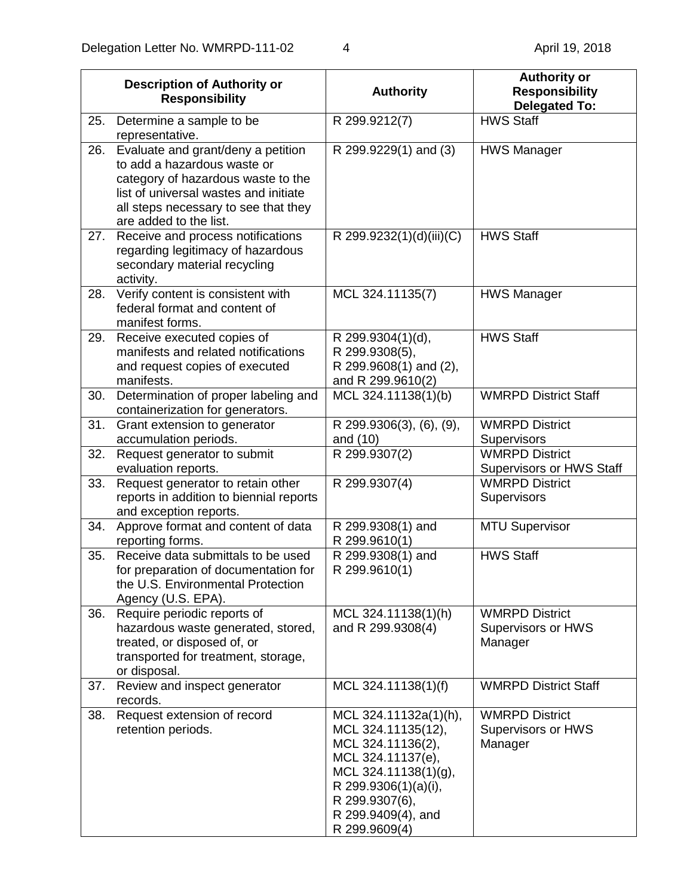|     | <b>Description of Authority or</b><br><b>Responsibility</b>                                                                                                                                                        | <b>Authority</b>                                                                                                                                                                               | <b>Authority or</b><br><b>Responsibility</b><br><b>Delegated To:</b> |
|-----|--------------------------------------------------------------------------------------------------------------------------------------------------------------------------------------------------------------------|------------------------------------------------------------------------------------------------------------------------------------------------------------------------------------------------|----------------------------------------------------------------------|
| 25. | Determine a sample to be<br>representative.                                                                                                                                                                        | R 299.9212(7)                                                                                                                                                                                  | <b>HWS Staff</b>                                                     |
| 26. | Evaluate and grant/deny a petition<br>to add a hazardous waste or<br>category of hazardous waste to the<br>list of universal wastes and initiate<br>all steps necessary to see that they<br>are added to the list. | R 299.9229(1) and (3)                                                                                                                                                                          | <b>HWS Manager</b>                                                   |
| 27. | Receive and process notifications<br>regarding legitimacy of hazardous<br>secondary material recycling<br>activity.                                                                                                | R 299.9232(1)(d)(iii)(C)                                                                                                                                                                       | <b>HWS Staff</b>                                                     |
| 28. | Verify content is consistent with<br>federal format and content of<br>manifest forms.                                                                                                                              | MCL 324.11135(7)                                                                                                                                                                               | <b>HWS Manager</b>                                                   |
| 29. | Receive executed copies of<br>manifests and related notifications<br>and request copies of executed<br>manifests.                                                                                                  | R 299.9304(1)(d),<br>R 299.9308(5),<br>R 299.9608(1) and (2),<br>and R 299.9610(2)                                                                                                             | <b>HWS Staff</b>                                                     |
| 30. | Determination of proper labeling and<br>containerization for generators.                                                                                                                                           | MCL 324.11138(1)(b)                                                                                                                                                                            | <b>WMRPD District Staff</b>                                          |
| 31. | Grant extension to generator<br>accumulation periods.                                                                                                                                                              | R 299.9306(3), (6), (9),<br>and (10)                                                                                                                                                           | <b>WMRPD District</b><br>Supervisors                                 |
| 32. | Request generator to submit<br>evaluation reports.                                                                                                                                                                 | R 299.9307(2)                                                                                                                                                                                  | <b>WMRPD District</b><br><b>Supervisors or HWS Staff</b>             |
| 33. | Request generator to retain other<br>reports in addition to biennial reports<br>and exception reports.                                                                                                             | R 299.9307(4)                                                                                                                                                                                  | <b>WMRPD District</b><br>Supervisors                                 |
| 34. | Approve format and content of data<br>reporting forms.                                                                                                                                                             | R 299.9308(1) and<br>R 299.9610(1)                                                                                                                                                             | <b>MTU Supervisor</b>                                                |
| 35. | Receive data submittals to be used<br>for preparation of documentation for<br>the U.S. Environmental Protection<br>Agency (U.S. EPA).                                                                              | R 299.9308(1) and<br>R 299.9610(1)                                                                                                                                                             | <b>HWS Staff</b>                                                     |
| 36. | Require periodic reports of<br>hazardous waste generated, stored,<br>treated, or disposed of, or<br>transported for treatment, storage,<br>or disposal.                                                            | MCL 324.11138(1)(h)<br>and R 299.9308(4)                                                                                                                                                       | <b>WMRPD District</b><br><b>Supervisors or HWS</b><br>Manager        |
| 37. | Review and inspect generator<br>records.                                                                                                                                                                           | MCL 324.11138(1)(f)                                                                                                                                                                            | <b>WMRPD District Staff</b>                                          |
| 38. | Request extension of record<br>retention periods.                                                                                                                                                                  | MCL 324.11132a(1)(h),<br>MCL 324.11135(12),<br>MCL 324.11136(2),<br>MCL 324.11137(e),<br>MCL 324.11138(1)(g),<br>R 299.9306(1)(a)(i),<br>R 299.9307(6),<br>R 299.9409(4), and<br>R 299.9609(4) | <b>WMRPD District</b><br>Supervisors or HWS<br>Manager               |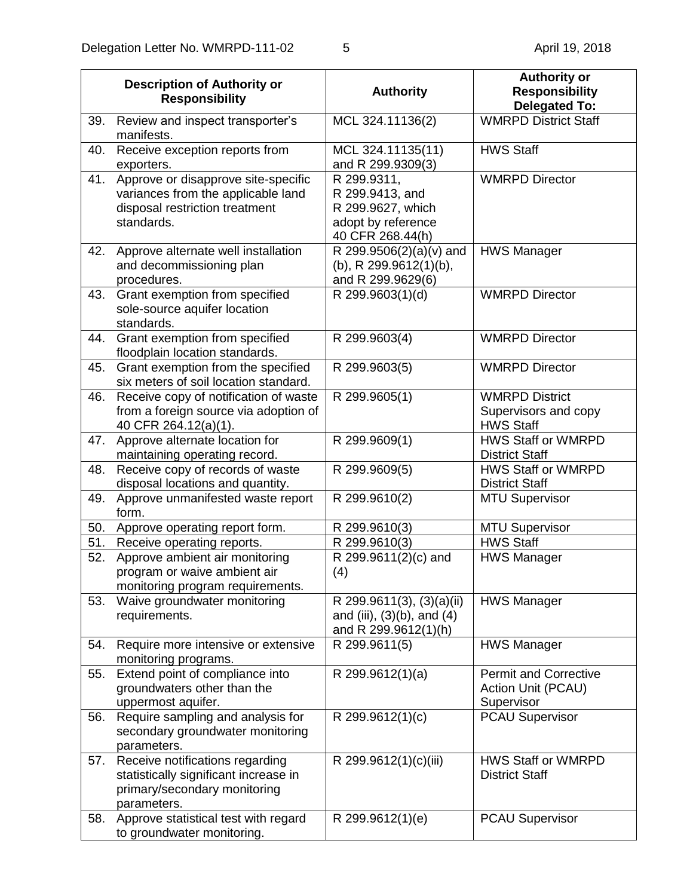|     | <b>Description of Authority or</b><br><b>Responsibility</b>                                                               | <b>Authority</b>                                                                              | <b>Authority or</b><br><b>Responsibility</b><br><b>Delegated To:</b> |
|-----|---------------------------------------------------------------------------------------------------------------------------|-----------------------------------------------------------------------------------------------|----------------------------------------------------------------------|
| 39. | Review and inspect transporter's<br>manifests.                                                                            | MCL 324.11136(2)                                                                              | <b>WMRPD District Staff</b>                                          |
| 40. | Receive exception reports from<br>exporters.                                                                              | MCL 324.11135(11)<br>and R 299.9309(3)                                                        | <b>HWS Staff</b>                                                     |
| 41. | Approve or disapprove site-specific<br>variances from the applicable land<br>disposal restriction treatment<br>standards. | R 299.9311,<br>R 299.9413, and<br>R 299.9627, which<br>adopt by reference<br>40 CFR 268.44(h) | <b>WMRPD Director</b>                                                |
| 42. | Approve alternate well installation<br>and decommissioning plan<br>procedures.                                            | R 299.9506(2)(a)(v) and<br>(b), R $299.9612(1)(b)$ ,<br>and R 299.9629(6)                     | <b>HWS Manager</b>                                                   |
| 43. | Grant exemption from specified<br>sole-source aquifer location<br>standards.                                              | R 299.9603(1)(d)                                                                              | <b>WMRPD Director</b>                                                |
| 44. | Grant exemption from specified<br>floodplain location standards.                                                          | R 299.9603(4)                                                                                 | <b>WMRPD Director</b>                                                |
| 45. | Grant exemption from the specified<br>six meters of soil location standard.                                               | R 299.9603(5)                                                                                 | <b>WMRPD Director</b>                                                |
| 46. | Receive copy of notification of waste<br>from a foreign source via adoption of<br>40 CFR 264.12(a)(1).                    | R 299.9605(1)                                                                                 | <b>WMRPD District</b><br>Supervisors and copy<br><b>HWS Staff</b>    |
| 47. | Approve alternate location for<br>maintaining operating record.                                                           | R 299.9609(1)                                                                                 | HWS Staff or WMRPD<br><b>District Staff</b>                          |
| 48. | Receive copy of records of waste<br>disposal locations and quantity.                                                      | R 299.9609(5)                                                                                 | <b>HWS Staff or WMRPD</b><br><b>District Staff</b>                   |
| 49. | Approve unmanifested waste report<br>form.                                                                                | R 299.9610(2)                                                                                 | <b>MTU Supervisor</b>                                                |
| 50. | Approve operating report form.                                                                                            | R 299.9610(3)                                                                                 | <b>MTU Supervisor</b>                                                |
| 51. | Receive operating reports.                                                                                                | R 299.9610(3)                                                                                 | <b>HWS Staff</b>                                                     |
| 52. | Approve ambient air monitoring<br>program or waive ambient air<br>monitoring program requirements.                        | R 299.9611(2)(c) and<br>(4)                                                                   | <b>HWS Manager</b>                                                   |
| 53. | Waive groundwater monitoring<br>requirements.                                                                             | R 299.9611(3), (3)(a)(ii)<br>and (iii), $(3)(b)$ , and $(4)$<br>and R 299.9612(1)(h)          | <b>HWS Manager</b>                                                   |
| 54. | Require more intensive or extensive<br>monitoring programs.                                                               | R 299.9611(5)                                                                                 | <b>HWS Manager</b>                                                   |
| 55. | Extend point of compliance into<br>groundwaters other than the<br>uppermost aquifer.                                      | $\overline{R}$ 299.9612(1)(a)                                                                 | <b>Permit and Corrective</b><br>Action Unit (PCAU)<br>Supervisor     |
| 56. | Require sampling and analysis for<br>secondary groundwater monitoring<br>parameters.                                      | R 299.9612(1)(c)                                                                              | <b>PCAU Supervisor</b>                                               |
| 57. | Receive notifications regarding<br>statistically significant increase in<br>primary/secondary monitoring<br>parameters.   | R 299.9612(1)(c)(iii)                                                                         | <b>HWS Staff or WMRPD</b><br><b>District Staff</b>                   |
| 58. | Approve statistical test with regard<br>to groundwater monitoring.                                                        | R 299.9612(1)(e)                                                                              | <b>PCAU Supervisor</b>                                               |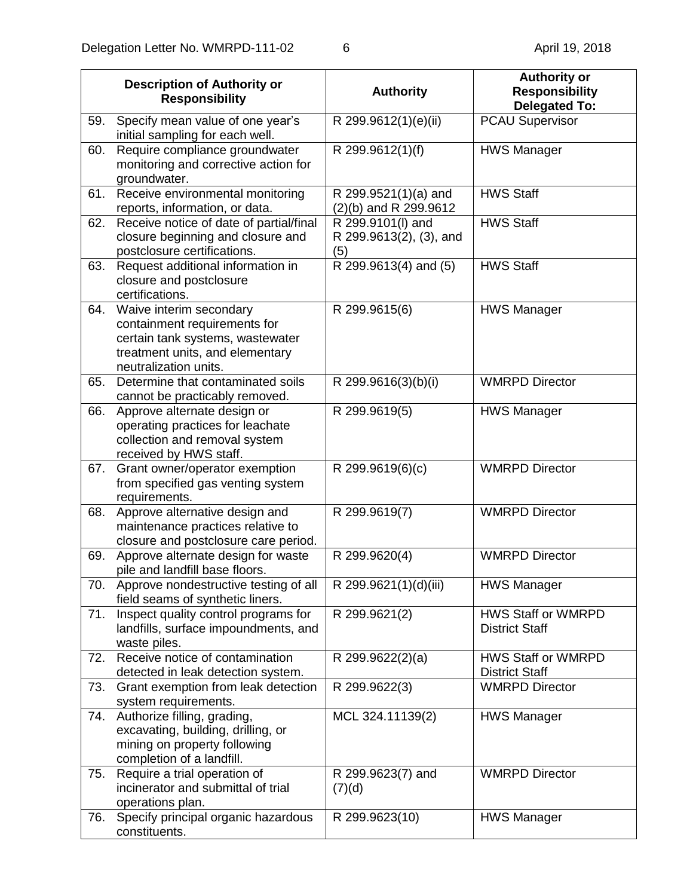|     | <b>Description of Authority or</b><br><b>Responsibility</b>                                                                                             | <b>Authority</b>                                    | <b>Authority or</b><br><b>Responsibility</b><br><b>Delegated To:</b> |
|-----|---------------------------------------------------------------------------------------------------------------------------------------------------------|-----------------------------------------------------|----------------------------------------------------------------------|
| 59. | Specify mean value of one year's<br>initial sampling for each well.                                                                                     | R 299.9612(1)(e)(ii)                                | <b>PCAU Supervisor</b>                                               |
| 60. | Require compliance groundwater<br>monitoring and corrective action for<br>groundwater.                                                                  | R 299.9612(1)(f)                                    | <b>HWS Manager</b>                                                   |
| 61. | Receive environmental monitoring<br>reports, information, or data.                                                                                      | R 299.9521(1)(a) and<br>$(2)(b)$ and R 299.9612     | <b>HWS Staff</b>                                                     |
| 62. | Receive notice of date of partial/final<br>closure beginning and closure and<br>postclosure certifications.                                             | R 299.9101(I) and<br>R 299.9613(2), (3), and<br>(5) | <b>HWS Staff</b>                                                     |
| 63. | Request additional information in<br>closure and postclosure<br>certifications.                                                                         | R 299.9613(4) and (5)                               | <b>HWS Staff</b>                                                     |
| 64. | Waive interim secondary<br>containment requirements for<br>certain tank systems, wastewater<br>treatment units, and elementary<br>neutralization units. | R 299.9615(6)                                       | <b>HWS Manager</b>                                                   |
| 65. | Determine that contaminated soils<br>cannot be practicably removed.                                                                                     | R 299.9616(3)(b)(i)                                 | <b>WMRPD Director</b>                                                |
| 66. | Approve alternate design or<br>operating practices for leachate<br>collection and removal system<br>received by HWS staff.                              | R 299.9619(5)                                       | <b>HWS Manager</b>                                                   |
| 67. | Grant owner/operator exemption<br>from specified gas venting system<br>requirements.                                                                    | R 299.9619(6)(c)                                    | <b>WMRPD Director</b>                                                |
| 68. | Approve alternative design and<br>maintenance practices relative to<br>closure and postclosure care period.                                             | R 299.9619(7)                                       | <b>WMRPD Director</b>                                                |
| 69. | Approve alternate design for waste<br>pile and landfill base floors.                                                                                    | R 299.9620(4)                                       | <b>WMRPD Director</b>                                                |
| 70. | Approve nondestructive testing of all<br>field seams of synthetic liners.                                                                               | R 299.9621(1)(d)(iii)                               | <b>HWS Manager</b>                                                   |
| 71. | Inspect quality control programs for<br>landfills, surface impoundments, and<br>waste piles.                                                            | R 299.9621(2)                                       | HWS Staff or WMRPD<br><b>District Staff</b>                          |
| 72. | Receive notice of contamination<br>detected in leak detection system.                                                                                   | R 299.9622(2)(a)                                    | HWS Staff or WMRPD<br><b>District Staff</b>                          |
| 73. | Grant exemption from leak detection<br>system requirements.                                                                                             | R 299.9622(3)                                       | <b>WMRPD Director</b>                                                |
| 74. | Authorize filling, grading,<br>excavating, building, drilling, or<br>mining on property following<br>completion of a landfill.                          | MCL 324.11139(2)                                    | <b>HWS Manager</b>                                                   |
| 75. | Require a trial operation of<br>incinerator and submittal of trial<br>operations plan.                                                                  | R 299.9623(7) and<br>(7)(d)                         | <b>WMRPD Director</b>                                                |
| 76. | Specify principal organic hazardous<br>constituents.                                                                                                    | R 299.9623(10)                                      | <b>HWS Manager</b>                                                   |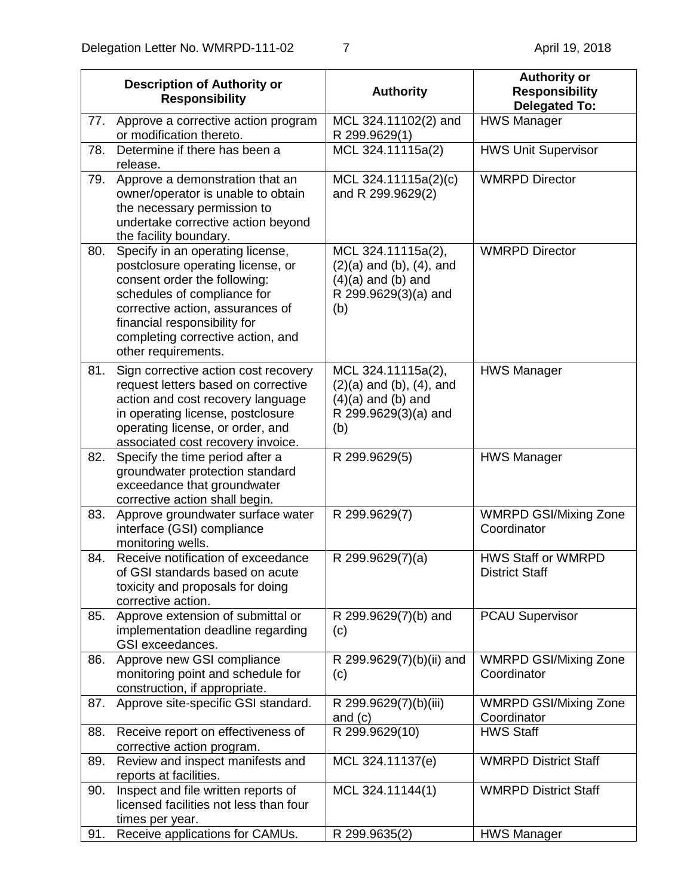|     | <b>Description of Authority or</b><br><b>Responsibility</b>                                                                                                                                                                                                          | <b>Authority</b>                                                                                                | <b>Authority or</b><br><b>Responsibility</b><br><b>Delegated To:</b> |
|-----|----------------------------------------------------------------------------------------------------------------------------------------------------------------------------------------------------------------------------------------------------------------------|-----------------------------------------------------------------------------------------------------------------|----------------------------------------------------------------------|
| 77. | Approve a corrective action program<br>or modification thereto.                                                                                                                                                                                                      | MCL 324.11102(2) and<br>R 299.9629(1)                                                                           | <b>HWS Manager</b>                                                   |
| 78. | Determine if there has been a<br>release.                                                                                                                                                                                                                            | MCL 324.11115a(2)                                                                                               | <b>HWS Unit Supervisor</b>                                           |
| 79. | Approve a demonstration that an<br>owner/operator is unable to obtain<br>the necessary permission to<br>undertake corrective action beyond<br>the facility boundary.                                                                                                 | MCL 324.11115a(2)(c)<br>and R 299.9629(2)                                                                       | <b>WMRPD Director</b>                                                |
| 80. | Specify in an operating license,<br>postclosure operating license, or<br>consent order the following:<br>schedules of compliance for<br>corrective action, assurances of<br>financial responsibility for<br>completing corrective action, and<br>other requirements. | MCL 324.11115a(2),<br>$(2)(a)$ and $(b)$ , $(4)$ , and<br>$(4)(a)$ and $(b)$ and<br>R 299.9629(3)(a) and<br>(b) | <b>WMRPD Director</b>                                                |
| 81. | Sign corrective action cost recovery<br>request letters based on corrective<br>action and cost recovery language<br>in operating license, postclosure<br>operating license, or order, and<br>associated cost recovery invoice.                                       | MCL 324.11115a(2),<br>$(2)(a)$ and $(b)$ , $(4)$ , and<br>$(4)(a)$ and $(b)$ and<br>R 299.9629(3)(a) and<br>(b) | <b>HWS Manager</b>                                                   |
| 82. | Specify the time period after a<br>groundwater protection standard<br>exceedance that groundwater<br>corrective action shall begin.                                                                                                                                  | R 299.9629(5)                                                                                                   | <b>HWS Manager</b>                                                   |
| 83. | Approve groundwater surface water<br>interface (GSI) compliance<br>monitoring wells.                                                                                                                                                                                 | R 299.9629(7)                                                                                                   | <b>WMRPD GSI/Mixing Zone</b><br>Coordinator                          |
| 84. | Receive notification of exceedance<br>of GSI standards based on acute<br>toxicity and proposals for doing<br>corrective action.                                                                                                                                      | R 299.9629(7)(a)                                                                                                | <b>HWS Staff or WMRPD</b><br><b>District Staff</b>                   |
| 85. | Approve extension of submittal or<br>implementation deadline regarding<br>GSI exceedances.                                                                                                                                                                           | R 299.9629(7)(b) and<br>(c)                                                                                     | <b>PCAU Supervisor</b>                                               |
| 86. | Approve new GSI compliance<br>monitoring point and schedule for<br>construction, if appropriate.                                                                                                                                                                     | R 299.9629(7)(b)(ii) and<br>(c)                                                                                 | <b>WMRPD GSI/Mixing Zone</b><br>Coordinator                          |
| 87. | Approve site-specific GSI standard.                                                                                                                                                                                                                                  | R 299.9629(7)(b)(iii)<br>and $(c)$                                                                              | <b>WMRPD GSI/Mixing Zone</b><br>Coordinator                          |
| 88. | Receive report on effectiveness of<br>corrective action program.                                                                                                                                                                                                     | R 299.9629(10)                                                                                                  | <b>HWS Staff</b>                                                     |
| 89. | Review and inspect manifests and<br>reports at facilities.                                                                                                                                                                                                           | MCL 324.11137(e)                                                                                                | <b>WMRPD District Staff</b>                                          |
| 90. | Inspect and file written reports of<br>licensed facilities not less than four<br>times per year.                                                                                                                                                                     | MCL 324.11144(1)                                                                                                | <b>WMRPD District Staff</b>                                          |
| 91. | Receive applications for CAMUs.                                                                                                                                                                                                                                      | R 299.9635(2)                                                                                                   | <b>HWS Manager</b>                                                   |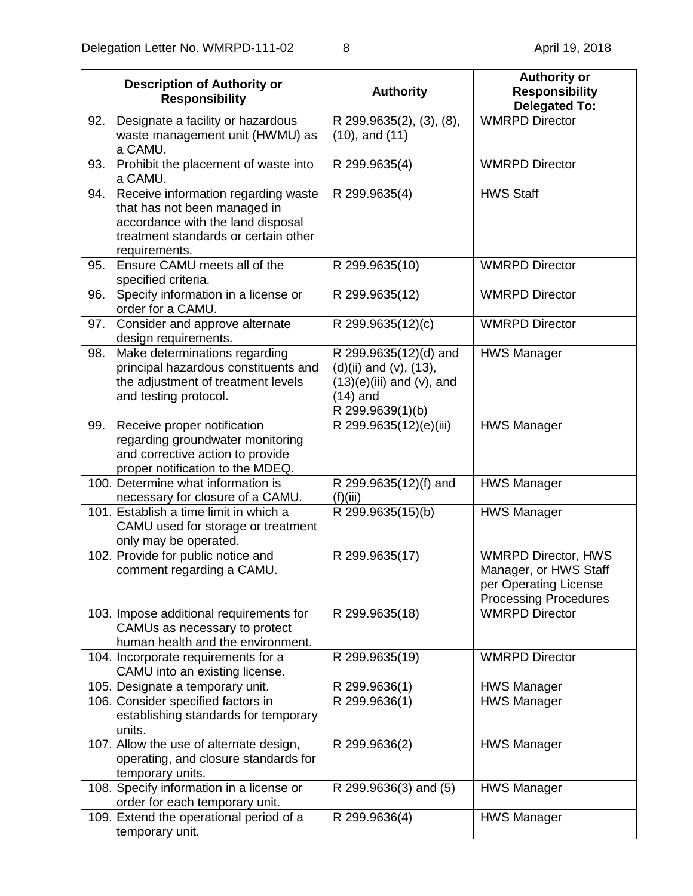|     | <b>Description of Authority or</b><br><b>Responsibility</b>                                                                                                       | <b>Authority</b>                                                                                                            | <b>Authority or</b><br><b>Responsibility</b><br><b>Delegated To:</b>                                         |
|-----|-------------------------------------------------------------------------------------------------------------------------------------------------------------------|-----------------------------------------------------------------------------------------------------------------------------|--------------------------------------------------------------------------------------------------------------|
| 92. | Designate a facility or hazardous<br>waste management unit (HWMU) as<br>a CAMU.                                                                                   | R 299.9635(2), (3), (8),<br>$(10)$ , and $(11)$                                                                             | <b>WMRPD Director</b>                                                                                        |
| 93. | Prohibit the placement of waste into<br>a CAMU.                                                                                                                   | R 299.9635(4)                                                                                                               | <b>WMRPD Director</b>                                                                                        |
| 94. | Receive information regarding waste<br>that has not been managed in<br>accordance with the land disposal<br>treatment standards or certain other<br>requirements. | R 299.9635(4)                                                                                                               | <b>HWS Staff</b>                                                                                             |
| 95. | Ensure CAMU meets all of the<br>specified criteria.                                                                                                               | R 299.9635(10)                                                                                                              | <b>WMRPD Director</b>                                                                                        |
| 96. | Specify information in a license or<br>order for a CAMU.                                                                                                          | R 299.9635(12)                                                                                                              | <b>WMRPD Director</b>                                                                                        |
| 97. | Consider and approve alternate<br>design requirements.                                                                                                            | R 299.9635(12)(c)                                                                                                           | <b>WMRPD Director</b>                                                                                        |
| 98. | Make determinations regarding<br>principal hazardous constituents and<br>the adjustment of treatment levels<br>and testing protocol.                              | R 299.9635(12)(d) and<br>$(d)(ii)$ and $(v)$ , $(13)$ ,<br>$(13)(e)(iii)$ and $(v)$ , and<br>$(14)$ and<br>R 299.9639(1)(b) | <b>HWS Manager</b>                                                                                           |
| 99. | Receive proper notification<br>regarding groundwater monitoring<br>and corrective action to provide<br>proper notification to the MDEQ.                           | R 299.9635(12)(e)(iii)                                                                                                      | <b>HWS Manager</b>                                                                                           |
|     | 100. Determine what information is<br>necessary for closure of a CAMU.                                                                                            | R 299.9635(12)(f) and<br>(f)(iii)                                                                                           | <b>HWS Manager</b>                                                                                           |
|     | 101. Establish a time limit in which a<br>CAMU used for storage or treatment<br>only may be operated.                                                             | R 299.9635(15)(b)                                                                                                           | <b>HWS Manager</b>                                                                                           |
|     | 102. Provide for public notice and<br>comment regarding a CAMU.                                                                                                   | R 299.9635(17)                                                                                                              | <b>WMRPD Director, HWS</b><br>Manager, or HWS Staff<br>per Operating License<br><b>Processing Procedures</b> |
|     | 103. Impose additional requirements for<br>CAMUs as necessary to protect<br>human health and the environment.                                                     | R 299.9635(18)                                                                                                              | <b>WMRPD Director</b>                                                                                        |
|     | 104. Incorporate requirements for a<br>CAMU into an existing license.                                                                                             | R 299.9635(19)                                                                                                              | <b>WMRPD Director</b>                                                                                        |
|     | 105. Designate a temporary unit.                                                                                                                                  | R 299.9636(1)                                                                                                               | <b>HWS Manager</b>                                                                                           |
|     | 106. Consider specified factors in<br>establishing standards for temporary<br>units.                                                                              | R 299.9636(1)                                                                                                               | <b>HWS Manager</b>                                                                                           |
|     | 107. Allow the use of alternate design,<br>operating, and closure standards for<br>temporary units.                                                               | R 299.9636(2)                                                                                                               | <b>HWS Manager</b>                                                                                           |
|     | 108. Specify information in a license or<br>order for each temporary unit.                                                                                        | R 299.9636(3) and (5)                                                                                                       | <b>HWS Manager</b>                                                                                           |
|     | 109. Extend the operational period of a<br>temporary unit.                                                                                                        | R 299.9636(4)                                                                                                               | <b>HWS Manager</b>                                                                                           |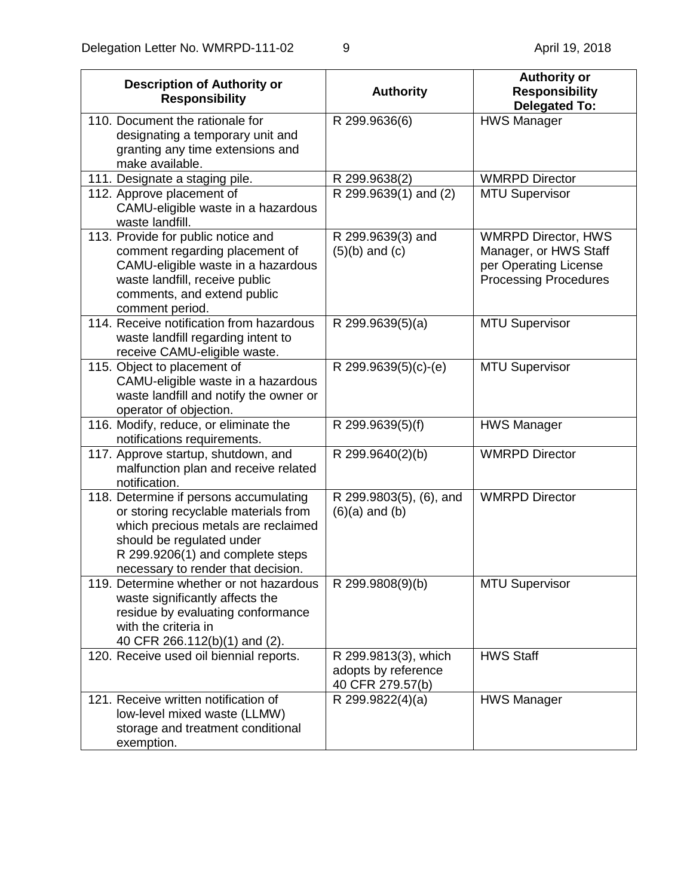| <b>Description of Authority or</b><br><b>Responsibility</b>                                                                                                                                                                  | <b>Authority</b>                                                | <b>Authority or</b><br><b>Responsibility</b><br><b>Delegated To:</b>                                         |
|------------------------------------------------------------------------------------------------------------------------------------------------------------------------------------------------------------------------------|-----------------------------------------------------------------|--------------------------------------------------------------------------------------------------------------|
| 110. Document the rationale for<br>designating a temporary unit and<br>granting any time extensions and<br>make available.                                                                                                   | R 299.9636(6)                                                   | <b>HWS Manager</b>                                                                                           |
| 111. Designate a staging pile.                                                                                                                                                                                               | R 299.9638(2)                                                   | <b>WMRPD Director</b>                                                                                        |
| 112. Approve placement of<br>CAMU-eligible waste in a hazardous<br>waste landfill.                                                                                                                                           | R 299.9639(1) and (2)                                           | <b>MTU Supervisor</b>                                                                                        |
| 113. Provide for public notice and<br>comment regarding placement of<br>CAMU-eligible waste in a hazardous<br>waste landfill, receive public<br>comments, and extend public<br>comment period.                               | R 299.9639(3) and<br>$(5)(b)$ and $(c)$                         | <b>WMRPD Director, HWS</b><br>Manager, or HWS Staff<br>per Operating License<br><b>Processing Procedures</b> |
| 114. Receive notification from hazardous<br>waste landfill regarding intent to<br>receive CAMU-eligible waste.                                                                                                               | R 299.9639(5)(a)                                                | <b>MTU Supervisor</b>                                                                                        |
| 115. Object to placement of<br>CAMU-eligible waste in a hazardous<br>waste landfill and notify the owner or<br>operator of objection.                                                                                        | R 299.9639(5)(c)-(e)                                            | <b>MTU Supervisor</b>                                                                                        |
| 116. Modify, reduce, or eliminate the<br>notifications requirements.                                                                                                                                                         | R 299.9639(5)(f)                                                | <b>HWS Manager</b>                                                                                           |
| 117. Approve startup, shutdown, and<br>malfunction plan and receive related<br>notification.                                                                                                                                 | R 299.9640(2)(b)                                                | <b>WMRPD Director</b>                                                                                        |
| 118. Determine if persons accumulating<br>or storing recyclable materials from<br>which precious metals are reclaimed<br>should be regulated under<br>R 299.9206(1) and complete steps<br>necessary to render that decision. | R 299.9803(5), (6), and<br>$(6)(a)$ and $(b)$                   | <b>WMRPD Director</b>                                                                                        |
| 119. Determine whether or not hazardous<br>waste significantly affects the<br>residue by evaluating conformance<br>with the criteria in<br>40 CFR 266.112(b)(1) and (2).                                                     | R 299.9808(9)(b)                                                | <b>MTU Supervisor</b>                                                                                        |
| 120. Receive used oil biennial reports.                                                                                                                                                                                      | R 299.9813(3), which<br>adopts by reference<br>40 CFR 279.57(b) | <b>HWS Staff</b>                                                                                             |
| 121. Receive written notification of<br>low-level mixed waste (LLMW)<br>storage and treatment conditional<br>exemption.                                                                                                      | R 299.9822(4)(a)                                                | <b>HWS Manager</b>                                                                                           |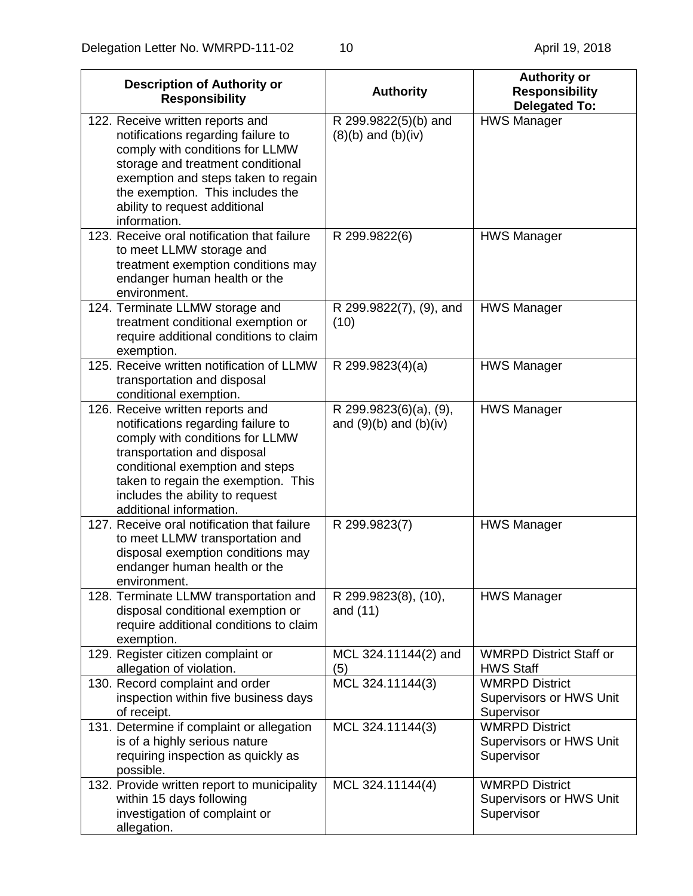| <b>Description of Authority or</b><br><b>Responsibility</b>                                                                                                                                                                                                                      | <b>Authority</b>                                     | <b>Authority or</b><br><b>Responsibility</b><br><b>Delegated To:</b>  |
|----------------------------------------------------------------------------------------------------------------------------------------------------------------------------------------------------------------------------------------------------------------------------------|------------------------------------------------------|-----------------------------------------------------------------------|
| 122. Receive written reports and<br>notifications regarding failure to<br>comply with conditions for LLMW<br>storage and treatment conditional<br>exemption and steps taken to regain<br>the exemption. This includes the<br>ability to request additional<br>information.       | R 299.9822(5)(b) and<br>$(8)(b)$ and $(b)(iv)$       | <b>HWS Manager</b>                                                    |
| 123. Receive oral notification that failure<br>to meet LLMW storage and<br>treatment exemption conditions may<br>endanger human health or the<br>environment.                                                                                                                    | R 299.9822(6)                                        | <b>HWS Manager</b>                                                    |
| 124. Terminate LLMW storage and<br>treatment conditional exemption or<br>require additional conditions to claim<br>exemption.                                                                                                                                                    | R 299.9822(7), (9), and<br>(10)                      | <b>HWS Manager</b>                                                    |
| 125. Receive written notification of LLMW<br>transportation and disposal<br>conditional exemption.                                                                                                                                                                               | R 299.9823(4)(a)                                     | <b>HWS Manager</b>                                                    |
| 126. Receive written reports and<br>notifications regarding failure to<br>comply with conditions for LLMW<br>transportation and disposal<br>conditional exemption and steps<br>taken to regain the exemption. This<br>includes the ability to request<br>additional information. | R 299.9823(6)(a), (9),<br>and $(9)(b)$ and $(b)(iv)$ | <b>HWS Manager</b>                                                    |
| 127. Receive oral notification that failure<br>to meet LLMW transportation and<br>disposal exemption conditions may<br>endanger human health or the<br>environment.                                                                                                              | R 299.9823(7)                                        | <b>HWS Manager</b>                                                    |
| 128. Terminate LLMW transportation and<br>disposal conditional exemption or<br>require additional conditions to claim<br>exemption.                                                                                                                                              | R 299.9823(8), (10),<br>and $(11)$                   | <b>HWS Manager</b>                                                    |
| 129. Register citizen complaint or<br>allegation of violation.                                                                                                                                                                                                                   | MCL 324.11144(2) and<br>(5)                          | <b>WMRPD District Staff or</b><br><b>HWS Staff</b>                    |
| 130. Record complaint and order<br>inspection within five business days<br>of receipt.                                                                                                                                                                                           | MCL 324.11144(3)                                     | <b>WMRPD District</b><br>Supervisors or HWS Unit<br>Supervisor        |
| 131. Determine if complaint or allegation<br>is of a highly serious nature<br>requiring inspection as quickly as<br>possible.                                                                                                                                                    | MCL 324.11144(3)                                     | <b>WMRPD District</b><br><b>Supervisors or HWS Unit</b><br>Supervisor |
| 132. Provide written report to municipality<br>within 15 days following<br>investigation of complaint or<br>allegation.                                                                                                                                                          | MCL 324.11144(4)                                     | <b>WMRPD District</b><br>Supervisors or HWS Unit<br>Supervisor        |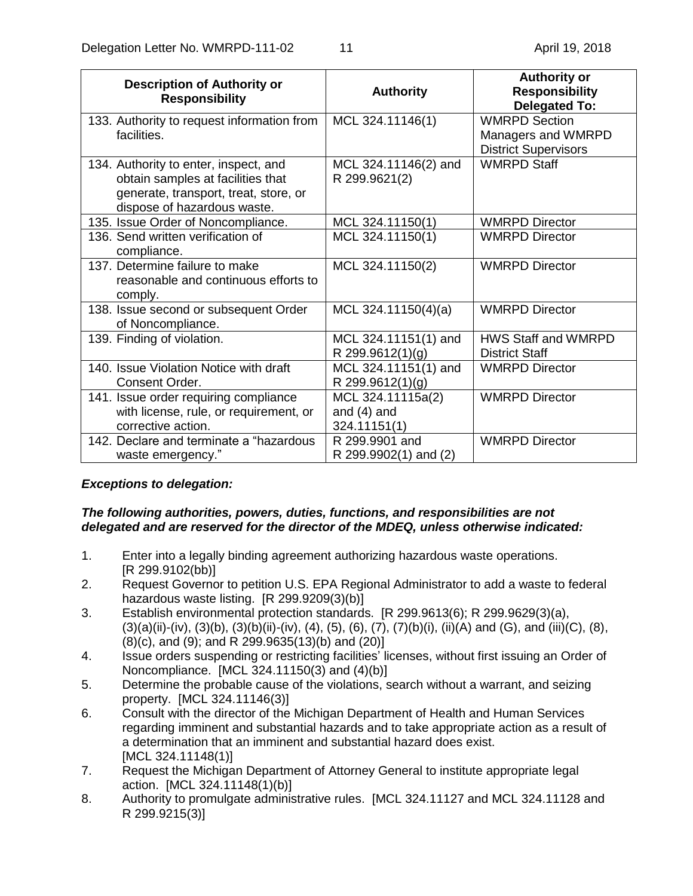| <b>Description of Authority or</b><br><b>Responsibility</b>                                                                                        | <b>Authority</b>                                   | <b>Authority or</b><br><b>Responsibility</b><br><b>Delegated To:</b> |
|----------------------------------------------------------------------------------------------------------------------------------------------------|----------------------------------------------------|----------------------------------------------------------------------|
| 133. Authority to request information from<br>facilities.                                                                                          | MCL 324.11146(1)                                   | <b>WMRPD Section</b>                                                 |
|                                                                                                                                                    |                                                    | Managers and WMRPD<br><b>District Supervisors</b>                    |
| 134. Authority to enter, inspect, and<br>obtain samples at facilities that<br>generate, transport, treat, store, or<br>dispose of hazardous waste. | MCL 324.11146(2) and<br>R 299.9621(2)              | <b>WMRPD Staff</b>                                                   |
| 135. Issue Order of Noncompliance.                                                                                                                 | MCL 324.11150(1)                                   | <b>WMRPD Director</b>                                                |
| 136. Send written verification of<br>compliance.                                                                                                   | MCL 324.11150(1)                                   | <b>WMRPD Director</b>                                                |
| 137. Determine failure to make<br>reasonable and continuous efforts to<br>comply.                                                                  | MCL 324.11150(2)                                   | <b>WMRPD Director</b>                                                |
| 138. Issue second or subsequent Order<br>of Noncompliance.                                                                                         | MCL 324.11150(4)(a)                                | <b>WMRPD Director</b>                                                |
| 139. Finding of violation.                                                                                                                         | MCL 324.11151(1) and<br>R 299.9612(1)(g)           | <b>HWS Staff and WMRPD</b><br><b>District Staff</b>                  |
| 140. Issue Violation Notice with draft<br>Consent Order.                                                                                           | MCL 324.11151(1) and<br>R 299.9612(1)(g)           | <b>WMRPD Director</b>                                                |
| 141. Issue order requiring compliance<br>with license, rule, or requirement, or<br>corrective action.                                              | MCL 324.11115a(2)<br>and $(4)$ and<br>324.11151(1) | <b>WMRPD Director</b>                                                |
| 142. Declare and terminate a "hazardous<br>waste emergency."                                                                                       | R 299.9901 and<br>R 299.9902(1) and (2)            | <b>WMRPD Director</b>                                                |

# *Exceptions to delegation:*

## *The following authorities, powers, duties, functions, and responsibilities are not delegated and are reserved for the director of the MDEQ, unless otherwise indicated:*

- 1. Enter into a legally binding agreement authorizing hazardous waste operations. [R 299.9102(bb)]
- 2. Request Governor to petition U.S. EPA Regional Administrator to add a waste to federal hazardous waste listing. [R 299.9209(3)(b)]
- 3. Establish environmental protection standards. [R 299.9613(6); R 299.9629(3)(a), (3)(a)(ii)-(iv), (3)(b), (3)(b)(ii)-(iv), (4), (5), (6), (7), (7)(b)(i), (ii)(A) and (G), and (iii)(C), (8), (8)(c), and (9); and R 299.9635(13)(b) and (20)]
- 4. Issue orders suspending or restricting facilities' licenses, without first issuing an Order of Noncompliance. [MCL 324.11150(3) and (4)(b)]
- 5. Determine the probable cause of the violations, search without a warrant, and seizing property. [MCL 324.11146(3)]
- 6. Consult with the director of the Michigan Department of Health and Human Services regarding imminent and substantial hazards and to take appropriate action as a result of a determination that an imminent and substantial hazard does exist. [MCL 324.11148(1)]
- 7. Request the Michigan Department of Attorney General to institute appropriate legal action. [MCL 324.11148(1)(b)]
- 8. Authority to promulgate administrative rules. [MCL 324.11127 and MCL 324.11128 and R 299.9215(3)]